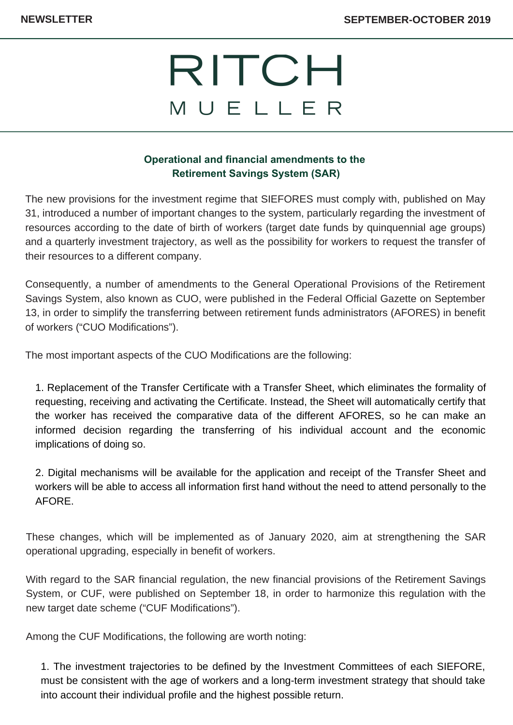# RITCH MUELLER

### **Operational and financial amendments to the Retirement Savings System (SAR)**

The new provisions for the investment regime that SIEFORES must comply with, published on May 31, introduced a number of important changes to the system, particularly regarding the investment of resources according to the date of birth of workers (target date funds by quinquennial age groups) and a quarterly investment trajectory, as well as the possibility for workers to request the transfer of their resources to a different company.

Consequently, a number of amendments to the General Operational Provisions of the Retirement Savings System, also known as CUO, were published in the Federal Official Gazette on September 13, in order to simplify the transferring between retirement funds administrators (AFORES) in benefit of workers ("CUO Modifications").

The most important aspects of the CUO Modifications are the following:

1. Replacement of the Transfer Certificate with a Transfer Sheet, which eliminates the formality of requesting, receiving and activating the Certificate. Instead, the Sheet will automatically certify that the worker has received the comparative data of the different AFORES, so he can make an informed decision regarding the transferring of his individual account and the economic implications of doing so.

2. Digital mechanisms will be available for the application and receipt of the Transfer Sheet and workers will be able to access all information first hand without the need to attend personally to the AFORE.

These changes, which will be implemented as of January 2020, aim at strengthening the SAR operational upgrading, especially in benefit of workers.

With regard to the SAR financial regulation, the new financial provisions of the Retirement Savings System, or CUF, were published on September 18, in order to harmonize this regulation with the new target date scheme ("CUF Modifications").

Among the CUF Modifications, the following are worth noting:

1. The investment trajectories to be defined by the Investment Committees of each SIEFORE, must be consistent with the age of workers and a long-term investment strategy that should take into account their individual profile and the highest possible return.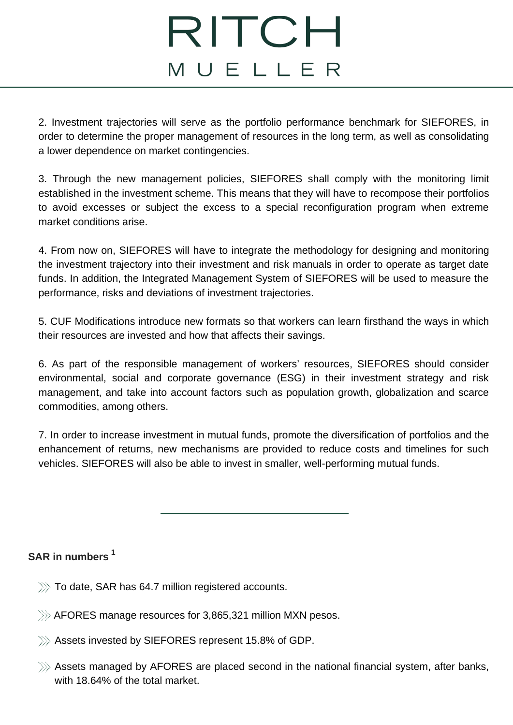### RITCH MUELLER

2. Investment trajectories will serve as the portfolio performance benchmark for SIEFORES, in order to determine the proper management of resources in the long term, as well as consolidating a lower dependence on market contingencies.

3. Through the new management policies, SIEFORES shall comply with the monitoring limit established in the investment scheme. This means that they will have to recompose their portfolios to avoid excesses or subject the excess to a special reconfiguration program when extreme market conditions arise.

4. From now on, SIEFORES will have to integrate the methodology for designing and monitoring the investment trajectory into their investment and risk manuals in order to operate as target date funds. In addition, the Integrated Management System of SIEFORES will be used to measure the performance, risks and deviations of investment trajectories.

5. CUF Modifications introduce new formats so that workers can learn firsthand the ways in which their resources are invested and how that affects their savings.

6. As part of the responsible management of workers' resources, SIEFORES should consider environmental, social and corporate governance (ESG) in their investment strategy and risk management, and take into account factors such as population growth, globalization and scarce commodities, among others.

7. In order to increase investment in mutual funds, promote the diversification of portfolios and the enhancement of returns, new mechanisms are provided to reduce costs and timelines for such vehicles. SIEFORES will also be able to invest in smaller, well-performing mutual funds.

### **SAR in numbers 1**

- $\gg$  To date, SAR has 64.7 million registered accounts.
- $\gg$  AFORES manage resources for 3,865,321 million MXN pesos.
- $\gg$  Assets invested by SIEFORES represent 15.8% of GDP.
- $\gg$  Assets managed by AFORES are placed second in the national financial system, after banks, with 18.64% of the total market.